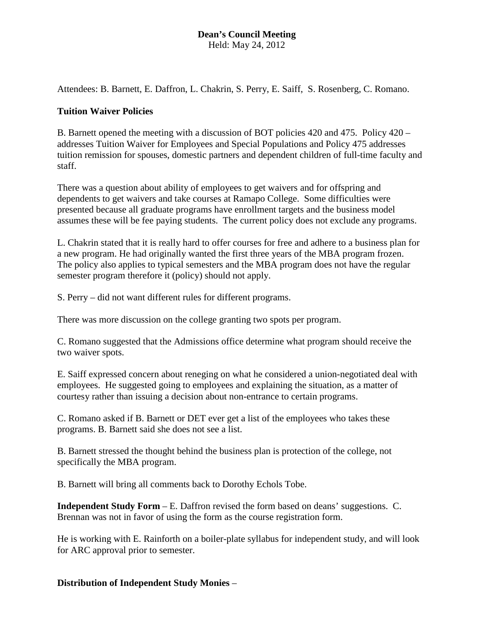Attendees: B. Barnett, E. Daffron, L. Chakrin, S. Perry, E. Saiff, S. Rosenberg, C. Romano.

### **Tuition Waiver Policies**

B. Barnett opened the meeting with a discussion of BOT policies 420 and 475. Policy 420 – addresses Tuition Waiver for Employees and Special Populations and Policy 475 addresses tuition remission for spouses, domestic partners and dependent children of full-time faculty and staff.

There was a question about ability of employees to get waivers and for offspring and dependents to get waivers and take courses at Ramapo College. Some difficulties were presented because all graduate programs have enrollment targets and the business model assumes these will be fee paying students. The current policy does not exclude any programs.

L. Chakrin stated that it is really hard to offer courses for free and adhere to a business plan for a new program. He had originally wanted the first three years of the MBA program frozen. The policy also applies to typical semesters and the MBA program does not have the regular semester program therefore it (policy) should not apply.

S. Perry – did not want different rules for different programs.

There was more discussion on the college granting two spots per program.

C. Romano suggested that the Admissions office determine what program should receive the two waiver spots.

E. Saiff expressed concern about reneging on what he considered a union-negotiated deal with employees. He suggested going to employees and explaining the situation, as a matter of courtesy rather than issuing a decision about non-entrance to certain programs.

C. Romano asked if B. Barnett or DET ever get a list of the employees who takes these programs. B. Barnett said she does not see a list.

B. Barnett stressed the thought behind the business plan is protection of the college, not specifically the MBA program.

B. Barnett will bring all comments back to Dorothy Echols Tobe.

**Independent Study Form** – E. Daffron revised the form based on deans' suggestions. C. Brennan was not in favor of using the form as the course registration form.

He is working with E. Rainforth on a boiler-plate syllabus for independent study, and will look for ARC approval prior to semester.

**Distribution of Independent Study Monies** –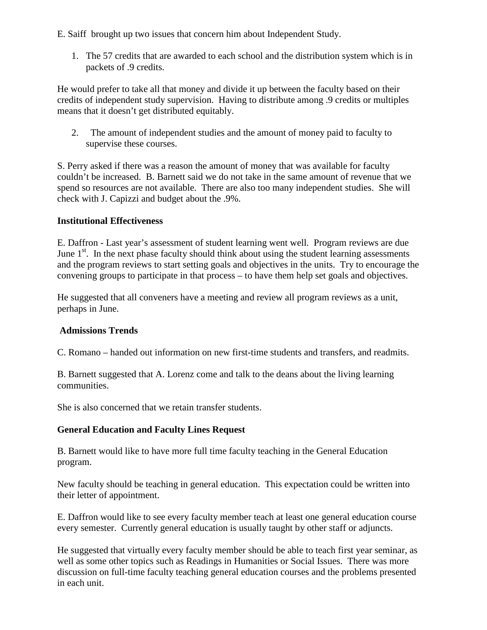E. Saiff brought up two issues that concern him about Independent Study.

1. The 57 credits that are awarded to each school and the distribution system which is in packets of .9 credits.

He would prefer to take all that money and divide it up between the faculty based on their credits of independent study supervision. Having to distribute among .9 credits or multiples means that it doesn't get distributed equitably.

2. The amount of independent studies and the amount of money paid to faculty to supervise these courses.

S. Perry asked if there was a reason the amount of money that was available for faculty couldn't be increased. B. Barnett said we do not take in the same amount of revenue that we spend so resources are not available. There are also too many independent studies. She will check with J. Capizzi and budget about the .9%.

## **Institutional Effectiveness**

E. Daffron - Last year's assessment of student learning went well. Program reviews are due June  $1<sup>st</sup>$ . In the next phase faculty should think about using the student learning assessments and the program reviews to start setting goals and objectives in the units. Try to encourage the convening groups to participate in that process – to have them help set goals and objectives.

He suggested that all conveners have a meeting and review all program reviews as a unit, perhaps in June.

## **Admissions Trends**

C. Romano – handed out information on new first-time students and transfers, and readmits.

B. Barnett suggested that A. Lorenz come and talk to the deans about the living learning communities.

She is also concerned that we retain transfer students.

## **General Education and Faculty Lines Request**

B. Barnett would like to have more full time faculty teaching in the General Education program.

New faculty should be teaching in general education. This expectation could be written into their letter of appointment.

E. Daffron would like to see every faculty member teach at least one general education course every semester. Currently general education is usually taught by other staff or adjuncts.

He suggested that virtually every faculty member should be able to teach first year seminar, as well as some other topics such as Readings in Humanities or Social Issues. There was more discussion on full-time faculty teaching general education courses and the problems presented in each unit.